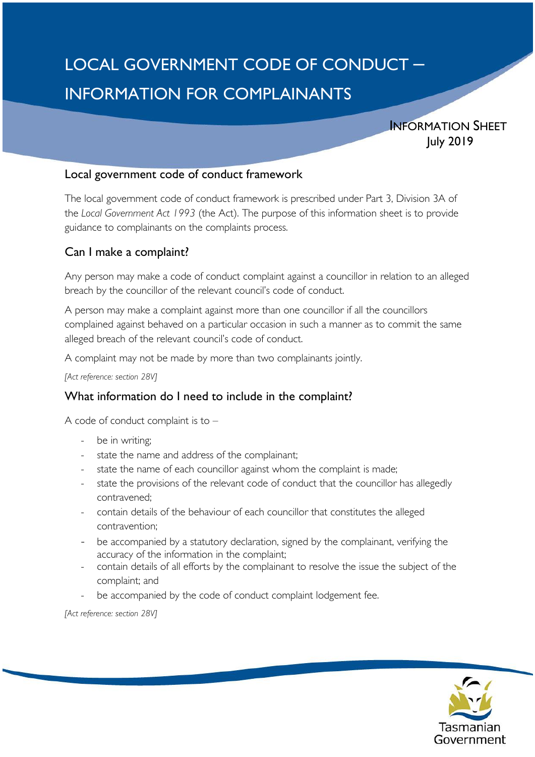# LOCAL GOVERNMENT CODE OF CONDUCT – INFORMATION FOR COMPLAINANTS

INFORMATION SHEET July 2019

#### Local government code of conduct framework

The local government code of conduct framework is prescribed under Part 3, Division 3A of the *Local Government Act 1993* (the Act). The purpose of this information sheet is to provide guidance to complainants on the complaints process.

## Can I make a complaint?

Any person may make a code of conduct complaint against a councillor in relation to an alleged breach by the councillor of the relevant council's code of conduct.

A person may make a complaint against more than one councillor if all the councillors complained against behaved on a particular occasion in such a manner as to commit the same alleged breach of the relevant council's code of conduct.

A complaint may not be made by more than two complainants jointly.

*[Act reference: section 28V]*

# What information do I need to include in the complaint?

A code of conduct complaint is to –

- be in writing;
- state the name and address of the complainant;
- state the name of each councillor against whom the complaint is made;
- state the provisions of the relevant code of conduct that the councillor has allegedly contravened;
- contain details of the behaviour of each councillor that constitutes the alleged contravention;
- be accompanied by a statutory declaration, signed by the complainant, verifying the accuracy of the information in the complaint;
- contain details of all efforts by the complainant to resolve the issue the subject of the complaint; and
- be accompanied by the code of conduct complaint lodgement fee.

*[Act reference: section 28V]*

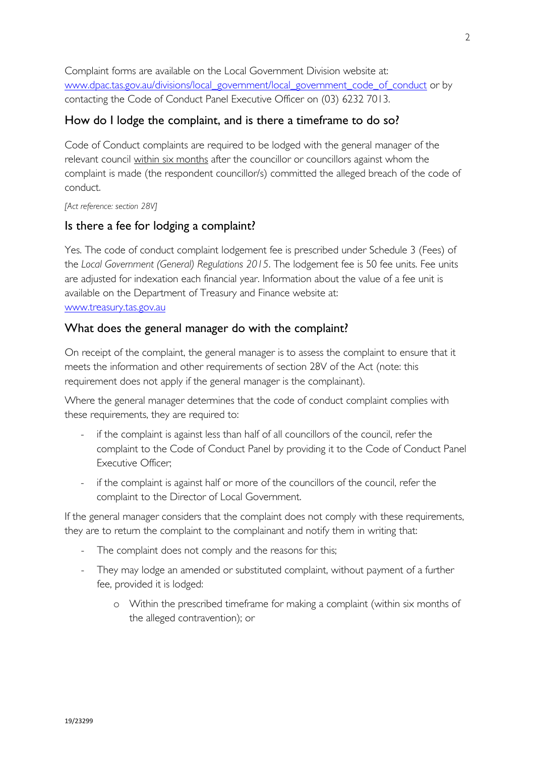Complaint forms are available on the Local Government Division website at: [www.dpac.tas.gov.au/divisions/local\\_government/local\\_government\\_code\\_of\\_conduct](http://www.dpac.tas.gov.au/divisions/local_government/local_government_code_of_conduct) or by contacting the Code of Conduct Panel Executive Officer on (03) 6232 7013.

## How do I lodge the complaint, and is there a timeframe to do so?

Code of Conduct complaints are required to be lodged with the general manager of the relevant council within six months after the councillor or councillors against whom the complaint is made (the respondent councillor/s) committed the alleged breach of the code of conduct.

*[Act reference: section 28V]*

#### Is there a fee for lodging a complaint?

Yes. The code of conduct complaint lodgement fee is prescribed under Schedule 3 (Fees) of the *Local Government (General) Regulations 2015*. The lodgement fee is 50 fee units. Fee units are adjusted for indexation each financial year. Information about the value of a fee unit is available on the Department of Treasury and Finance website at: [www.treasury.tas.gov.au](http://www.treasury.tas.gov.au/)

### What does the general manager do with the complaint?

On receipt of the complaint, the general manager is to assess the complaint to ensure that it meets the information and other requirements of section 28V of the Act (note: this requirement does not apply if the general manager is the complainant).

Where the general manager determines that the code of conduct complaint complies with these requirements, they are required to:

- if the complaint is against less than half of all councillors of the council, refer the complaint to the Code of Conduct Panel by providing it to the Code of Conduct Panel Executive Officer;
- if the complaint is against half or more of the councillors of the council, refer the complaint to the Director of Local Government.

If the general manager considers that the complaint does not comply with these requirements, they are to return the complaint to the complainant and notify them in writing that:

- The complaint does not comply and the reasons for this;
- They may lodge an amended or substituted complaint, without payment of a further fee, provided it is lodged:
	- o Within the prescribed timeframe for making a complaint (within six months of the alleged contravention); or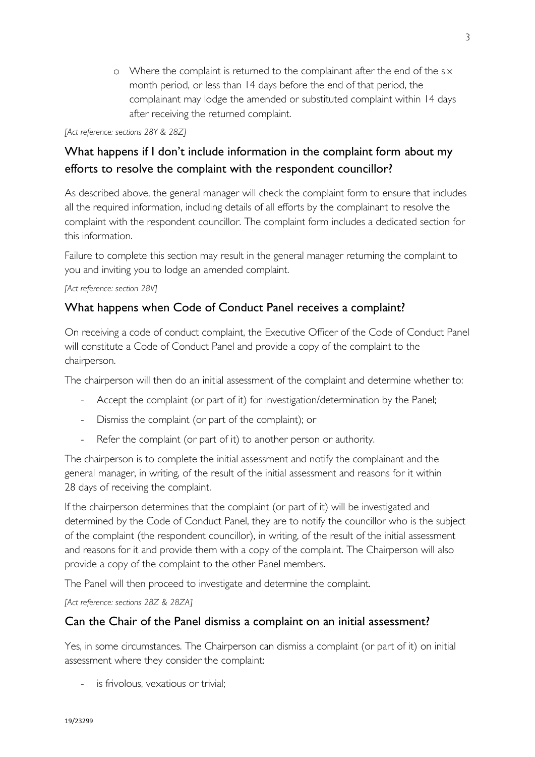o Where the complaint is returned to the complainant after the end of the six month period, or less than 14 days before the end of that period, the complainant may lodge the amended or substituted complaint within 14 days after receiving the returned complaint.

#### *[Act reference: sections 28Y & 28Z]*

# What happens if I don't include information in the complaint form about my efforts to resolve the complaint with the respondent councillor?

As described above, the general manager will check the complaint form to ensure that includes all the required information, including details of all efforts by the complainant to resolve the complaint with the respondent councillor. The complaint form includes a dedicated section for this information.

Failure to complete this section may result in the general manager returning the complaint to you and inviting you to lodge an amended complaint.

#### *[Act reference: section 28V]*

# What happens when Code of Conduct Panel receives a complaint?

On receiving a code of conduct complaint, the Executive Officer of the Code of Conduct Panel will constitute a Code of Conduct Panel and provide a copy of the complaint to the chairperson.

The chairperson will then do an initial assessment of the complaint and determine whether to:

- Accept the complaint (or part of it) for investigation/determination by the Panel;
- Dismiss the complaint (or part of the complaint); or
- Refer the complaint (or part of it) to another person or authority.

The chairperson is to complete the initial assessment and notify the complainant and the general manager, in writing, of the result of the initial assessment and reasons for it within 28 days of receiving the complaint.

If the chairperson determines that the complaint (or part of it) will be investigated and determined by the Code of Conduct Panel, they are to notify the councillor who is the subject of the complaint (the respondent councillor), in writing, of the result of the initial assessment and reasons for it and provide them with a copy of the complaint. The Chairperson will also provide a copy of the complaint to the other Panel members.

The Panel will then proceed to investigate and determine the complaint.

*[Act reference: sections 28Z & 28ZA]*

# Can the Chair of the Panel dismiss a complaint on an initial assessment?

Yes, in some circumstances. The Chairperson can dismiss a complaint (or part of it) on initial assessment where they consider the complaint:

is frivolous, vexatious or trivial: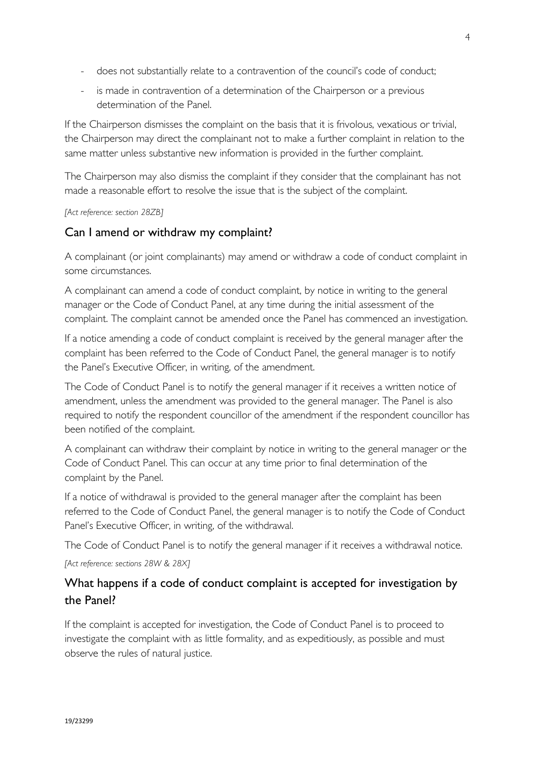- does not substantially relate to a contravention of the council's code of conduct;
- is made in contravention of a determination of the Chairperson or a previous determination of the Panel.

If the Chairperson dismisses the complaint on the basis that it is frivolous, vexatious or trivial, the Chairperson may direct the complainant not to make a further complaint in relation to the same matter unless substantive new information is provided in the further complaint.

The Chairperson may also dismiss the complaint if they consider that the complainant has not made a reasonable effort to resolve the issue that is the subject of the complaint.

#### *[Act reference: section 28ZB]*

## Can I amend or withdraw my complaint?

A complainant (or joint complainants) may amend or withdraw a code of conduct complaint in some circumstances.

A complainant can amend a code of conduct complaint, by notice in writing to the general manager or the Code of Conduct Panel, at any time during the initial assessment of the complaint. The complaint cannot be amended once the Panel has commenced an investigation.

If a notice amending a code of conduct complaint is received by the general manager after the complaint has been referred to the Code of Conduct Panel, the general manager is to notify the Panel's Executive Officer, in writing, of the amendment.

The Code of Conduct Panel is to notify the general manager if it receives a written notice of amendment, unless the amendment was provided to the general manager. The Panel is also required to notify the respondent councillor of the amendment if the respondent councillor has been notified of the complaint.

A complainant can withdraw their complaint by notice in writing to the general manager or the Code of Conduct Panel. This can occur at any time prior to final determination of the complaint by the Panel.

If a notice of withdrawal is provided to the general manager after the complaint has been referred to the Code of Conduct Panel, the general manager is to notify the Code of Conduct Panel's Executive Officer, in writing, of the withdrawal.

The Code of Conduct Panel is to notify the general manager if it receives a withdrawal notice.

*[Act reference: sections 28W & 28X]*

# What happens if a code of conduct complaint is accepted for investigation by the Panel?

If the complaint is accepted for investigation, the Code of Conduct Panel is to proceed to investigate the complaint with as little formality, and as expeditiously, as possible and must observe the rules of natural justice.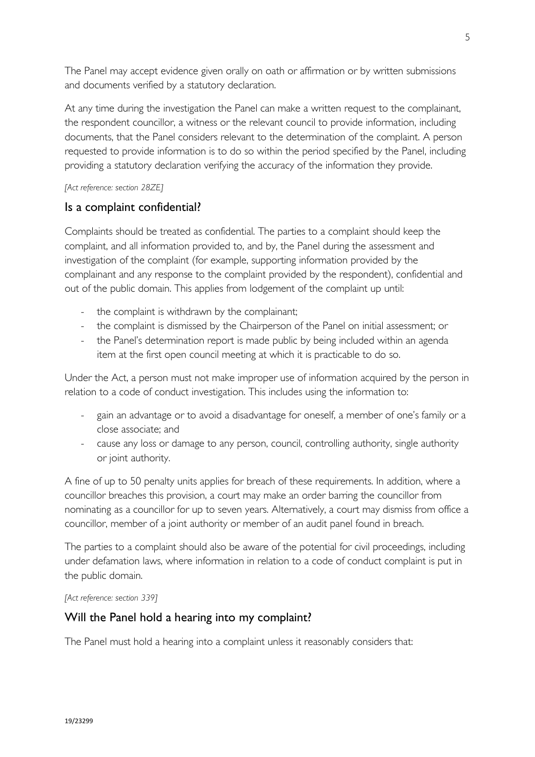The Panel may accept evidence given orally on oath or affirmation or by written submissions and documents verified by a statutory declaration.

At any time during the investigation the Panel can make a written request to the complainant, the respondent councillor, a witness or the relevant council to provide information, including documents, that the Panel considers relevant to the determination of the complaint. A person requested to provide information is to do so within the period specified by the Panel, including providing a statutory declaration verifying the accuracy of the information they provide.

#### *[Act reference: section 28ZE]*

### Is a complaint confidential?

Complaints should be treated as confidential. The parties to a complaint should keep the complaint, and all information provided to, and by, the Panel during the assessment and investigation of the complaint (for example, supporting information provided by the complainant and any response to the complaint provided by the respondent), confidential and out of the public domain. This applies from lodgement of the complaint up until:

- the complaint is withdrawn by the complainant;
- the complaint is dismissed by the Chairperson of the Panel on initial assessment; or
- the Panel's determination report is made public by being included within an agenda item at the first open council meeting at which it is practicable to do so.

Under the Act, a person must not make improper use of information acquired by the person in relation to a code of conduct investigation. This includes using the information to:

- gain an advantage or to avoid a disadvantage for oneself, a member of one's family or a close associate; and
- cause any loss or damage to any person, council, controlling authority, single authority or joint authority.

A fine of up to 50 penalty units applies for breach of these requirements. In addition, where a councillor breaches this provision, a court may make an order barring the councillor from nominating as a councillor for up to seven years. Alternatively, a court may dismiss from office a councillor, member of a joint authority or member of an audit panel found in breach.

The parties to a complaint should also be aware of the potential for civil proceedings, including under defamation laws, where information in relation to a code of conduct complaint is put in the public domain.

*[Act reference: section 339]*

### Will the Panel hold a hearing into my complaint?

The Panel must hold a hearing into a complaint unless it reasonably considers that: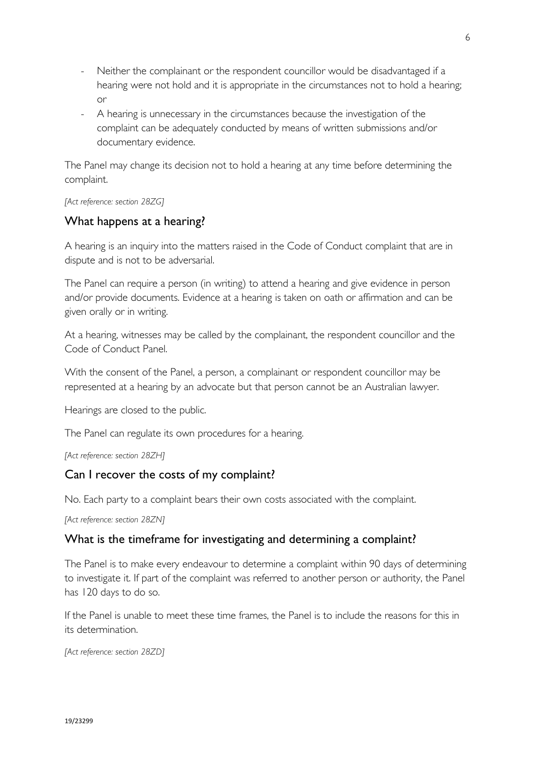- Neither the complainant or the respondent councillor would be disadvantaged if a hearing were not hold and it is appropriate in the circumstances not to hold a hearing; or
- A hearing is unnecessary in the circumstances because the investigation of the complaint can be adequately conducted by means of written submissions and/or documentary evidence.

The Panel may change its decision not to hold a hearing at any time before determining the complaint.

*[Act reference: section 28ZG]*

## What happens at a hearing?

A hearing is an inquiry into the matters raised in the Code of Conduct complaint that are in dispute and is not to be adversarial.

The Panel can require a person (in writing) to attend a hearing and give evidence in person and/or provide documents. Evidence at a hearing is taken on oath or affirmation and can be given orally or in writing.

At a hearing, witnesses may be called by the complainant, the respondent councillor and the Code of Conduct Panel.

With the consent of the Panel, a person, a complainant or respondent councillor may be represented at a hearing by an advocate but that person cannot be an Australian lawyer.

Hearings are closed to the public.

The Panel can regulate its own procedures for a hearing.

*[Act reference: section 28ZH]*

### Can I recover the costs of my complaint?

No. Each party to a complaint bears their own costs associated with the complaint.

*[Act reference: section 28ZN]*

### What is the timeframe for investigating and determining a complaint?

The Panel is to make every endeavour to determine a complaint within 90 days of determining to investigate it. If part of the complaint was referred to another person or authority, the Panel has 120 days to do so.

If the Panel is unable to meet these time frames, the Panel is to include the reasons for this in its determination.

*[Act reference: section 28ZD]*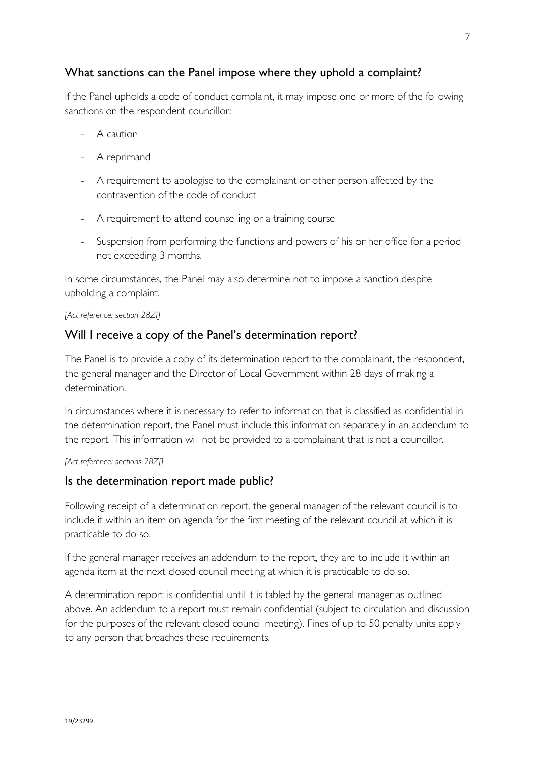## What sanctions can the Panel impose where they uphold a complaint?

If the Panel upholds a code of conduct complaint, it may impose one or more of the following sanctions on the respondent councillor:

- A caution
- A reprimand
- A requirement to apologise to the complainant or other person affected by the contravention of the code of conduct
- A requirement to attend counselling or a training course
- Suspension from performing the functions and powers of his or her office for a period not exceeding 3 months.

In some circumstances, the Panel may also determine not to impose a sanction despite upholding a complaint.

*[Act reference: section 28ZI]*

#### Will I receive a copy of the Panel's determination report?

The Panel is to provide a copy of its determination report to the complainant, the respondent, the general manager and the Director of Local Government within 28 days of making a determination.

In circumstances where it is necessary to refer to information that is classified as confidential in the determination report, the Panel must include this information separately in an addendum to the report. This information will not be provided to a complainant that is not a councillor.

*[Act reference: sections 28ZJ]*

#### Is the determination report made public?

Following receipt of a determination report, the general manager of the relevant council is to include it within an item on agenda for the first meeting of the relevant council at which it is practicable to do so.

If the general manager receives an addendum to the report, they are to include it within an agenda item at the next closed council meeting at which it is practicable to do so.

A determination report is confidential until it is tabled by the general manager as outlined above. An addendum to a report must remain confidential (subject to circulation and discussion for the purposes of the relevant closed council meeting). Fines of up to 50 penalty units apply to any person that breaches these requirements.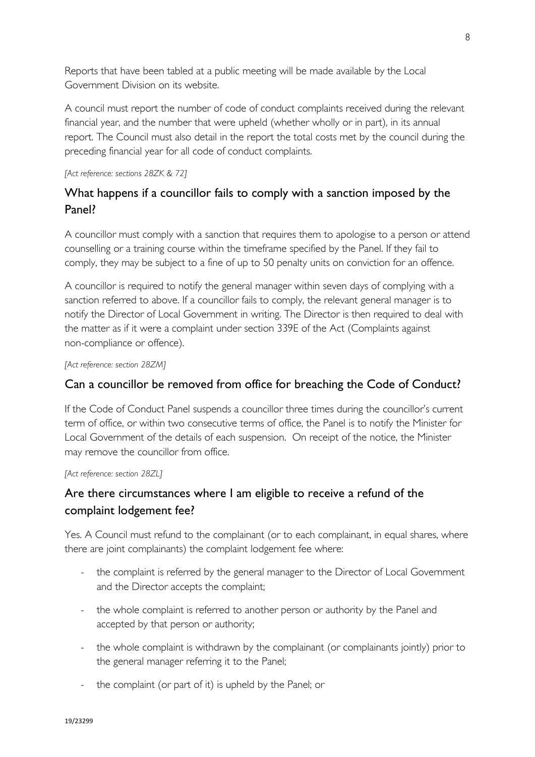Reports that have been tabled at a public meeting will be made available by the Local Government Division on its website.

A council must report the number of code of conduct complaints received during the relevant financial year, and the number that were upheld (whether wholly or in part), in its annual report. The Council must also detail in the report the total costs met by the council during the preceding financial year for all code of conduct complaints.

#### *[Act reference: sections 28ZK & 72]*

# What happens if a councillor fails to comply with a sanction imposed by the Panel?

A councillor must comply with a sanction that requires them to apologise to a person or attend counselling or a training course within the timeframe specified by the Panel. If they fail to comply, they may be subject to a fine of up to 50 penalty units on conviction for an offence.

A councillor is required to notify the general manager within seven days of complying with a sanction referred to above. If a councillor fails to comply, the relevant general manager is to notify the Director of Local Government in writing. The Director is then required to deal with the matter as if it were a complaint under section 339E of the Act (Complaints against non-compliance or offence).

*[Act reference: section 28ZM]*

# Can a councillor be removed from office for breaching the Code of Conduct?

If the Code of Conduct Panel suspends a councillor three times during the councillor's current term of office, or within two consecutive terms of office, the Panel is to notify the Minister for Local Government of the details of each suspension. On receipt of the notice, the Minister may remove the councillor from office.

#### *[Act reference: section 28ZL]*

# Are there circumstances where I am eligible to receive a refund of the complaint lodgement fee?

Yes. A Council must refund to the complainant (or to each complainant, in equal shares, where there are joint complainants) the complaint lodgement fee where:

- the complaint is referred by the general manager to the Director of Local Government and the Director accepts the complaint;
- the whole complaint is referred to another person or authority by the Panel and accepted by that person or authority;
- the whole complaint is withdrawn by the complainant (or complainants jointly) prior to the general manager referring it to the Panel;
- the complaint (or part of it) is upheld by the Panel; or